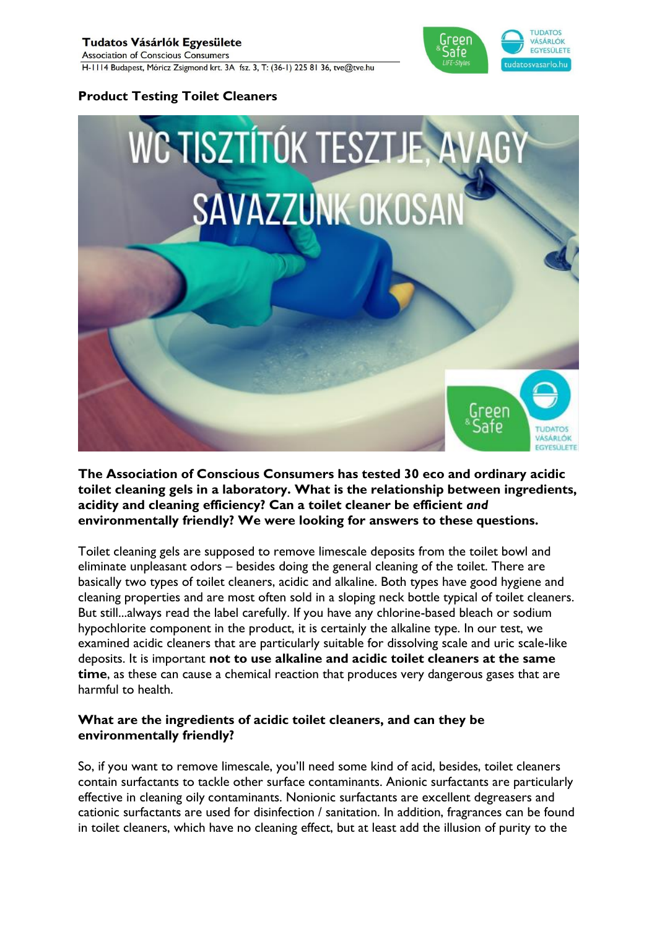## Tudatos Vásárlók Egyesülete

**Association of Conscious Consumers** H-1114 Budapest, Móricz Zsigmond krt. 3A fsz. 3, T: (36-1) 225 81 36, tve@tve.hu



## **Product Testing Toilet Cleaners**



**The Association of Conscious Consumers has tested 30 eco and ordinary acidic toilet cleaning gels in a laboratory. What is the relationship between ingredients, acidity and cleaning efficiency? Can a toilet cleaner be efficient** *and* **environmentally friendly? We were looking for answers to these questions.**

Toilet cleaning gels are supposed to remove limescale deposits from the toilet bowl and eliminate unpleasant odors – besides doing the general cleaning of the toilet. There are basically two types of toilet cleaners, acidic and alkaline. Both types have good hygiene and cleaning properties and are most often sold in a sloping neck bottle typical of toilet cleaners. But still...always read the label carefully. If you have any chlorine-based bleach or sodium hypochlorite component in the product, it is certainly the alkaline type. In our test, we examined acidic cleaners that are particularly suitable for dissolving scale and uric scale-like deposits. It is important **not to use alkaline and acidic toilet cleaners at the same time**, as these can cause a chemical reaction that produces very dangerous gases that are harmful to health.

### **What are the ingredients of acidic toilet cleaners, and can they be environmentally friendly?**

So, if you want to remove limescale, you'll need some kind of acid, besides, toilet cleaners contain surfactants to tackle other surface contaminants. Anionic surfactants are particularly effective in cleaning oily contaminants. Nonionic surfactants are excellent degreasers and cationic surfactants are used for disinfection / sanitation. In addition, fragrances can be found in toilet cleaners, which have no cleaning effect, but at least add the illusion of purity to the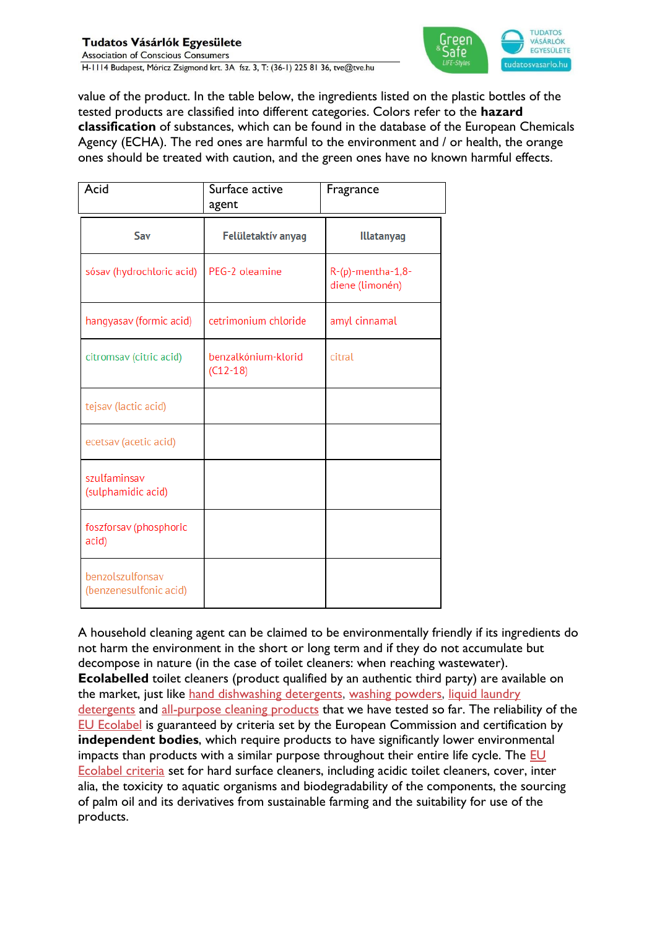

value of the product. In the table below, the ingredients listed on the plastic bottles of the tested products are classified into different categories. Colors refer to the **hazard classification** of substances, which can be found in the database of the European Chemicals Agency (ECHA). The red ones are harmful to the environment and / or health, the orange ones should be treated with caution, and the green ones have no known harmful effects.

| Acid                                       | Surface active<br>agent           | Fragrance                            |  |  |
|--------------------------------------------|-----------------------------------|--------------------------------------|--|--|
| Sav                                        | Felületaktív anyag                | <b>Illatanyag</b>                    |  |  |
| sósav (hydrochloric acid)                  | PEG-2 oleamine                    | R-(p)-mentha-1,8-<br>diene (limonén) |  |  |
| hangyasav (formic acid)                    | cetrimonium chloride              | amyl cinnamal                        |  |  |
| citromsav (citric acid)                    | benzalkónium-klorid<br>$(C12-18)$ | citral                               |  |  |
| tejsav (lactic acid)                       |                                   |                                      |  |  |
| ecetsav (acetic acid)                      |                                   |                                      |  |  |
| szulfaminsav<br>(sulphamidic acid)         |                                   |                                      |  |  |
| foszforsav (phosphoric<br>acid)            |                                   |                                      |  |  |
| benzolszulfonsav<br>(benzenesulfonic acid) |                                   |                                      |  |  |

A household cleaning agent can be claimed to be environmentally friendly if its ingredients do not harm the environment in the short or long term and if they do not accumulate but decompose in nature (in the case of toilet cleaners: when reaching wastewater). **Ecolabelled** toilet cleaners (product qualified by an authentic third party) are available on the market, just like [hand dishwashing detergents,](https://tesztek.tudatosvasarlo.hu/kezi-mosogatoszerek/teszt) [washing powders,](https://tesztek.tudatosvasarlo.hu/mosoporok/teszt) [liquid laundry](https://tesztek.tudatosvasarlo.hu/mosogelek/teszt)  [detergents](https://tesztek.tudatosvasarlo.hu/mosogelek/teszt) and [all-purpose cleaning products](https://tudatosvasarlo.hu/altalanos-felulettisztitok-tesztje-kiderult-jok-e-barmire-is/) that we have tested so far. The reliability of the [EU Ecolabel](https://tudatosvasarlo.hu/termekcimke/eu-ecolabel/) is guaranteed by criteria set by the European Commission and certification by **independent bodies**, which require products to have significantly lower environmental impacts than products with a similar purpose throughout their entire life cycle. The [EU](https://eur-lex.europa.eu/legal-content/HU/TXT/PDF/?uri=CELEX:32017D1217&from=EN)  [Ecolabel criteria](https://eur-lex.europa.eu/legal-content/HU/TXT/PDF/?uri=CELEX:32017D1217&from=EN) set for hard surface cleaners, including acidic toilet cleaners, cover, inter alia, the toxicity to aquatic organisms and biodegradability of the components, the sourcing of palm oil and its derivatives from sustainable farming and the suitability for use of the products.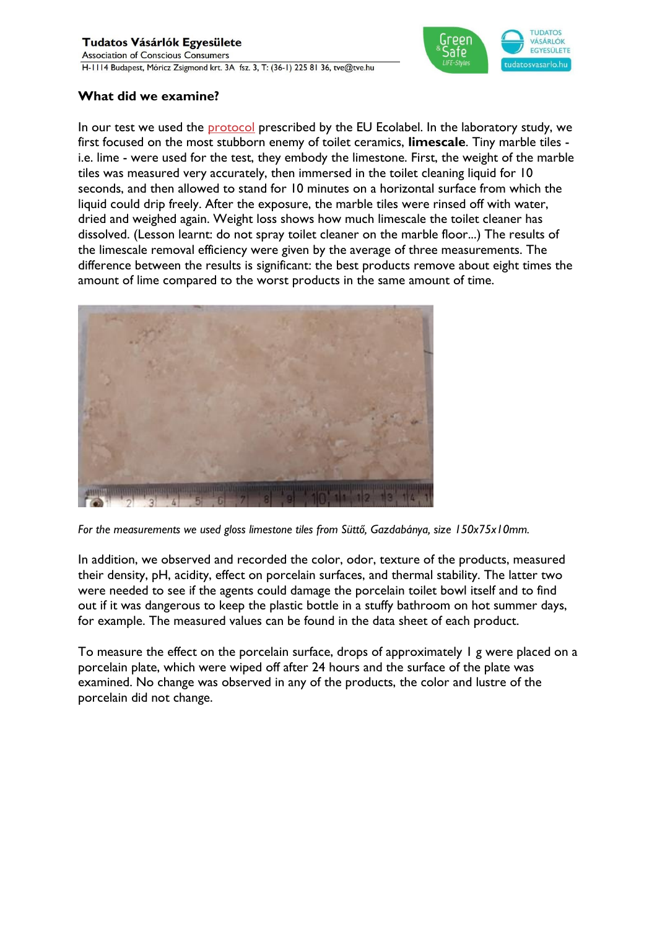## Tudatos Vásárlók Egyesülete

**Association of Conscious Consumers** H-1114 Budapest, Móricz Zsigmond krt. 3A fsz. 3, T: (36-1) 225 81 36, tve@tve.hu



## **What did we examine?**

In our test we used the **[protocol](https://www.ikw.org/fileadmin/ikw/downloads/Haushaltspflege/HP_EQ-WC-Reiniger-Englisch.pdf)** prescribed by the EU Ecolabel. In the laboratory study, we first focused on the most stubborn enemy of toilet ceramics, **limescale**. Tiny marble tiles i.e. lime - were used for the test, they embody the limestone. First, the weight of the marble tiles was measured very accurately, then immersed in the toilet cleaning liquid for 10 seconds, and then allowed to stand for 10 minutes on a horizontal surface from which the liquid could drip freely. After the exposure, the marble tiles were rinsed off with water, dried and weighed again. Weight loss shows how much limescale the toilet cleaner has dissolved. (Lesson learnt: do not spray toilet cleaner on the marble floor...) The results of the limescale removal efficiency were given by the average of three measurements. The difference between the results is significant: the best products remove about eight times the amount of lime compared to the worst products in the same amount of time.



*For the measurements we used gloss limestone tiles from Süttő, Gazdabánya, size 150x75x10mm.*

In addition, we observed and recorded the color, odor, texture of the products, measured their density, pH, acidity, effect on porcelain surfaces, and thermal stability. The latter two were needed to see if the agents could damage the porcelain toilet bowl itself and to find out if it was dangerous to keep the plastic bottle in a stuffy bathroom on hot summer days, for example. The measured values can be found in the data sheet of each product.

To measure the effect on the porcelain surface, drops of approximately 1 g were placed on a porcelain plate, which were wiped off after 24 hours and the surface of the plate was examined. No change was observed in any of the products, the color and lustre of the porcelain did not change.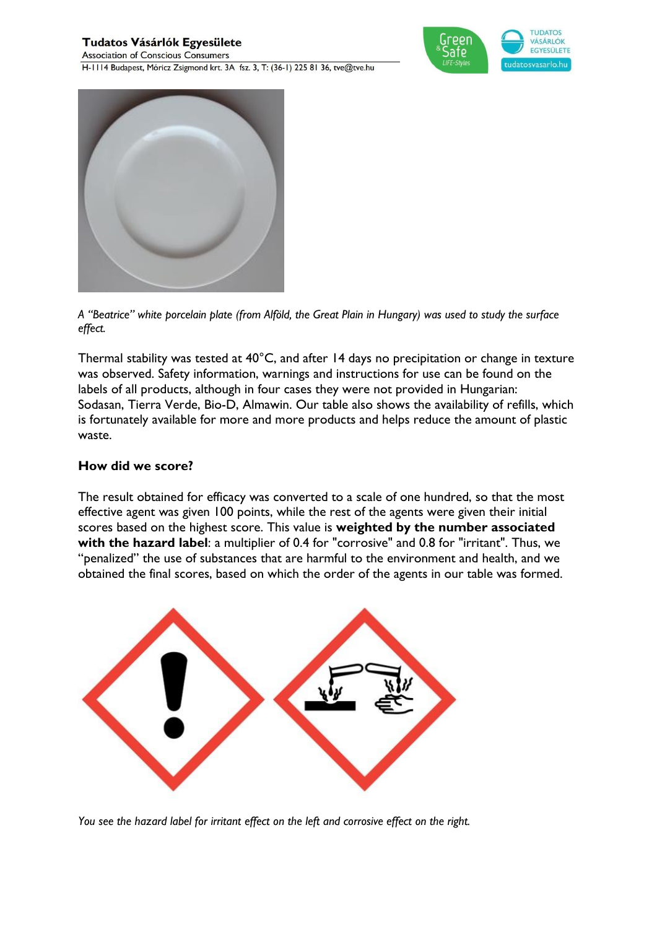**Association of Conscious Consumers** H-1114 Budapest, Móricz Zsigmond krt. 3A fsz. 3, T: (36-1) 225 81 36, tve@tve.hu





*A "Beatrice" white porcelain plate (from Alföld, the Great Plain in Hungary) was used to study the surface effect.*

Thermal stability was tested at 40°C, and after 14 days no precipitation or change in texture was observed. Safety information, warnings and instructions for use can be found on the labels of all products, although in four cases they were not provided in Hungarian: Sodasan, Tierra Verde, Bio-D, Almawin. Our table also shows the availability of refills, which is fortunately available for more and more products and helps reduce the amount of plastic waste.

## **How did we score?**

The result obtained for efficacy was converted to a scale of one hundred, so that the most effective agent was given 100 points, while the rest of the agents were given their initial scores based on the highest score. This value is **weighted by the number associated with the hazard label**: a multiplier of 0.4 for "corrosive" and 0.8 for "irritant". Thus, we "penalized" the use of substances that are harmful to the environment and health, and we obtained the final scores, based on which the order of the agents in our table was formed.



*You see the hazard label for irritant effect on the left and corrosive effect on the right.*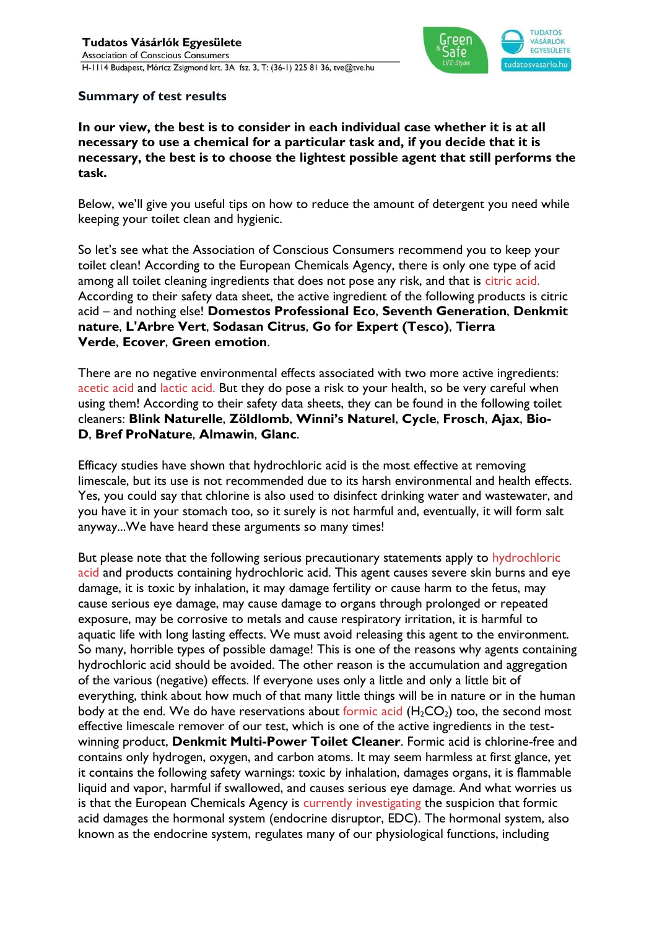

### **Summary of test results**

**In our view, the best is to consider in each individual case whether it is at all necessary to use a chemical for a particular task and, if you decide that it is necessary, the best is to choose the lightest possible agent that still performs the task.**

Below, we'll give you useful tips on how to reduce the amount of detergent you need while keeping your toilet clean and hygienic.

So let's see what the Association of Conscious Consumers recommend you to keep your toilet clean! According to the European Chemicals Agency, there is only one type of acid among all toilet cleaning ingredients that does not pose any risk, and that is [citric acid.](https://echa.europa.eu/hu/substance-information/-/substanceinfo/100.000.973) According to their safety data sheet, the active ingredient of the following products is citric acid – and nothing else! **Domestos Professional Eco**, **Seventh Generation**, **Denkmit nature**, **L'Arbre Vert**, **Sodasan Citrus**, **Go for Expert (Tesco)**, **Tierra Verde**, **Ecover**, **Green emotion**.

There are no negative environmental effects associated with two more active ingredients: [acetic acid](https://echa.europa.eu/hu/substance-information/-/substanceinfo/100.000.528) and [lactic acid.](https://echa.europa.eu/hu/substance-information/-/substanceinfo/100.001.088) But they do pose a risk to your health, so be very careful when using them! According to their safety data sheets, they can be found in the following toilet cleaners: **Blink Naturelle**, **Zöldlomb**, **Winni's Naturel**, **Cycle**, **Frosch**, **Ajax**, **Bio-D**, **Bref ProNature**, **Almawin**, **Glanc**.

Efficacy studies have shown that hydrochloric acid is the most effective at removing limescale, but its use is not recommended due to its harsh environmental and health effects. Yes, you could say that chlorine is also used to disinfect drinking water and wastewater, and you have it in your stomach too, so it surely is not harmful and, eventually, it will form salt anyway...We have heard these arguments so many times!

But please note that the following serious precautionary statements apply to [hydrochloric](https://echa.europa.eu/hu/substance-information/-/substanceinfo/100.028.723)  [acid](https://echa.europa.eu/hu/substance-information/-/substanceinfo/100.028.723) and products containing hydrochloric acid. This agent causes severe skin burns and eye damage, it is toxic by inhalation, it may damage fertility or cause harm to the fetus, may cause serious eye damage, may cause damage to organs through prolonged or repeated exposure, may be corrosive to metals and cause respiratory irritation, it is harmful to aquatic life with long lasting effects. We must avoid releasing this agent to the environment. So many, horrible types of possible damage! This is one of the reasons why agents containing hydrochloric acid should be avoided. The other reason is the accumulation and aggregation of the various (negative) effects. If everyone uses only a little and only a little bit of everything, think about how much of that many little things will be in nature or in the human body at the end. We do have reservations about [formic acid](https://echa.europa.eu/hu/substance-information/-/substanceinfo/100.000.527)  $(H_2CO_2)$  too, the second most effective limescale remover of our test, which is one of the active ingredients in the testwinning product, **Denkmit Multi-Power Toilet Cleaner**. Formic acid is chlorine-free and contains only hydrogen, oxygen, and carbon atoms. It may seem harmless at first glance, yet it contains the following safety warnings: toxic by inhalation, damages organs, it is flammable liquid and vapor, harmful if swallowed, and causes serious eye damage. And what worries us is that the European Chemicals Agency is [currently investigating](https://echa.europa.eu/hu/ed-assessment/-/dislist/details/0b0236e18383e2f7) the suspicion that formic acid damages the hormonal system (endocrine disruptor, EDC). The hormonal system, also known as the endocrine system, regulates many of our physiological functions, including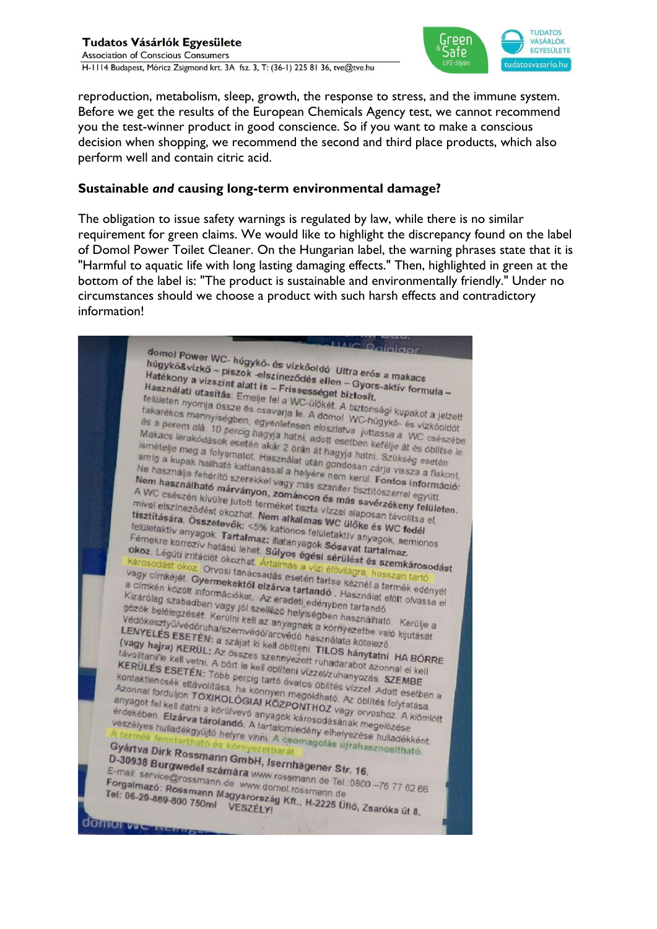#### Tudatos Vásárlók Egyesülete **Association of Conscious Consumers** H-1114 Budapest, Móricz Zsigmond krt. 3A fsz. 3, T: (36-1) 225 81 36, tve@tve.hu



reproduction, metabolism, sleep, growth, the response to stress, and the immune system. Before we get the results of the European Chemicals Agency test, we cannot recommend you the test-winner product in good conscience. So if you want to make a conscious decision when shopping, we recommend the second and third place products, which also perform well and contain citric acid.

### **Sustainable** *and* **causing long-term environmental damage?**

The obligation to issue safety warnings is regulated by law, while there is no similar requirement for green claims. We would like to highlight the discrepancy found on the label of Domol Power Toilet Cleaner. On the Hungarian label, the warning phrases state that it is "Harmful to aquatic life with long lasting damaging effects." Then, highlighted in green at the bottom of the label is: "The product is sustainable and environmentally friendly." Under no circumstances should we choose a product with such harsh effects and contradictory information!

**LIAIC Deiniger** domol Power WC- húgykő- és vízkőoldó Ultra erős a makacs<br>húgykő&vízkő – piszok -elszíneződés ellen – Gyors a makacs<br>Hatékony a vízszint alatt is uomor Power WC- húgykő- és vízkőoldó Ultra erős a makacs<br>Hatékony a vízszint alatt is – Frissességet biztosít.<br>Használati utasítás: Emelie fel a Wességet biztosít.<br>felületes Hatékony a vízszint alatt is – Friszességet biztosít.<br>Használati utasítás: Emelje fel a WC-dikkét Aztosít.<br>Felületen nyomia ses Emelje fel a WC-dikkét Aztosít. Használati utasítás: Emelje fel a WC-űlőkét. A biztonsági kupakot a jelzett<br>felületen nyomja össze és csavarja le. A domol WC-húgykő- és vízitett.<br>fakarékos mennyiségben, egyenleten. Telületen nyomja össze és csavarja le. A domol WC-húgykő- és vízköoldót<br>takarékos mennyiségben, egyenletesen eloszlatva jutassa a valódoldót<br>takarékos mennyiségben, egyenletesen eloszlatva jutassa a valódoldót<br>Makare keri takarékos mennyiségben, egyenletesen előszlatva juttassa a WC-Giákárákos mennyiségben, egyenletesen előszlatva juttassa a WC csészében.<br>A domol WC-húgykő- és vízkööldöt<br>Makacs lerakódások esetén akár 2 ára. adott esetben k és a perem alá. 10 percig hagyja hatni, adott esetben kefélje át és vízköoldót<br>Makacs lerakódások esetén akár 2 órán át hagyja hatni, Szűkööldőt<br>Smételje meg a folyamatot. Használat at hagyja hatni. Szűksép els<br>amig a kura Makacs lerakódások esetén akár 2 órán át hagyja hatni.<br>Ismételje meg a folyamatot. Használat után at hagyja hatni. Szükség esetén<br>amíg a kupak hallható kattanással a hitleredetek meg a folyamatot. Használat után gondosan z makacs lerakódások esetén akár 2 órán át hagyja hatni. Szükség esetén ismételje meg a folyamatot. Használat után gondosan zárja vissza a flakont.<br>Amár a kupak hallható kattanással a helyére nem kerül. Szükség esetén Ne has amig a kupak haliható kattanással a helyére nem kerül. Szükség esetén<br>Ne használja fehérítő kattanással a helyére nem kerül. Szükség esetén<br>Ne használja fehérítő szerekkel vagy más szaniter tisztítószerrel egyitt.<br>Nem hasz Ne használja fehérítő kattanással a helyére nem kerül. Fontos informatikus a filalomásai a helyére nem kerül. Fontos informatikus a filalomásai a helyére nem kerül. Fontos informatikus a filalomásai a helyére nem kerül. Fo Nem használható márványon, zománcon és más szaniter tisztítószerrel együtt.<br>A WC csészén kívülre jutott terméket tisztászerrel együtt.<br>A WC csészén kívülre jutott terméket tisztá vízzel alaposan távoltte.<br>Itisztítására 28 A WC csészén kívülre jutott terméket tiszta vizzel alaposan távaltalász elemente elszíneződést okozhat. Nem alkalmas WC ülöke és MC filmelelszíneződést okozhat. Nem alkalmas WC ülőke és MC filmelelszíneződést okozhat. Nem mivel elszíneződést okozhat. Nem alkalmas WC ulőke és távoltatár a meg mivel elszíneződést okozhat. Nem alkalmas WC ulőke és távoltsa<br>tisztítására. Összetevők: <5% kationos felületaktív anyagok. Félületaktív anyagok. Tarta tisztítására. Összetevők: <5% kationos felületaktív anyagok, nemintetett a vizzel alaposan távolitsa el,<br>felületaktív anyagok. Tartalmaz: illatanyagok felületaktív anyagok, nemionos<br>Fémekre korrozív hatású lehet e st. felületaktív anyagok. Tartalmaz: illatanyagok Sósavat tartalmaz.<br>Fémekre korrozív hatású lehez: illatanyagok Sósavat tartalmaz.<br>Dikoz. Légúti irritációt okozhat. Súlyos égési sérülést és magyar tartalmaz. Temekre korrozív hatású lehet. Súlyos felületaktív anyagok, nemionos<br>Pémekre korrozív hatású lehet. Súlyos égési sérülést tartalmaz.<br>Károsodást okoz. Orvosi tanácsadás arallitás a vízi élővilágra, hosszan tartálmak.<br><sup>Káros</sup> The Korrozív hatású lehet. Súlyos égési sérülést és szemkáros.<br>Károsodást okoz. Drvosi tanácsadás a vízi élővilágra, hoszzemkáros.<br>Károsodást okoz. Orvosi tanácsadás esetén tartsa kéznél a termintelye vagy címkéjét. Gyerme Kizárólag szervezett a kiadja a királyos égési sérülést és szemkárosodást a károsodást a kézi a királyos a vizi élővilágra, hosszan tartó vagy címkéjét. Gyermekektől elzárva tartandó . Használat előrt elkezéte kizárólag sz Margy címkéjét. Gyermekektől elzárva tartandó . Használat előtt olyaszan tartó<br>a címkén közölt informékektől elzárva tartandó . Használat előtt olyaszan tartó<br>kizárólag szabadban vagy jól szelléze . edenyben tartandó .<br>a c Tayy cimkéjét. Gyermekektől elzárva tartandó. Hasznéla te<br>a címkén közölt információkat. Az eredeti edényben tartandó.<br>Kizárólag szabadban vagy jól szellőző helyisédben tartandó.<br>gőzők belélegzését. Kerület kizellőző helyi kizárólag szabadban vagy jól szellőző helyiségben használat előtt olvassa<br>Kizárólag szabadban vagy jól szellőző helyiségben tartandó.<br>Védőkesztyű/védőruha/szemvédőcsza nelyiségben használható. Kerülje a<br>LENYEL és kerülmáro gözök belélegzését. Kerülni kell az anyagnak a környezetbe való kisitik eldette elsett eldette való.<br>Védőkesztyű/védőruha/szemvédő/arcyédő helyiségben használható. Kerülje a<br>LENYELÉS ESETÉN: a szájat ki kell atmod használa Védőkesztyű/védőruha/szemvádő/arcvédő használható<br>LENYELÉS ESETÉN; a szájat ki kell obliteni TILOS kételező.<br>LENYELÉS ESETÉN; a szájat ki kell obliteni. TILOS kételező. LENYELÉS ESETÉN; a szájat ki kell öblíteni. TILOS hánytatni HA BÖRRE<br>(vagy hajra) KERÜL: Az összes szennyezett ruhadata kötelező.<br>távolitani/le kell vetni. A z összes szennyezett ruhadarabot azonpal ol kell.<br>KERÜLÉS ESETÉN Territorial ESETÉN; a szájat ki kell öblíteni. TILOS hánytatni HA BŐR<br>távolitani/le kell vetni. Az összes szennyezett ruhadarabot azonnal el kell<br>KERÜLÉS ESETÉN: Több percin tartá fell vízzel/zuhanyozás SZEMPE távolitani/le kell vetni. Az összes szennyezett ruhadarabot azonnal el kell<br>KERÜLÉS ESETÉN: Több percig tartó óvatos öblítési szennyezés.<br>KERÜLÉS ESETÉN: Több percig tartó óvatos öblítési vízzel Adolf Azonnal el kell<br>Azonn KERÜLÉS ESETÉN: Több percig tartó óvatos öblítési vázonnal el kell<br>kontaktlencsék eltávolítása, ha könnyen megoldható azonnal el kell<br>Azonnal forduljon TOXIKOLÓGIAI KÖZPOSIÓJÁTás VÍZZel Adott esetben a<br>anyagot fallusius TO Kontaktlencsék eltávolítása, ha könnyen megoldható Az öblítés vízzel Adott esetbel<br>Azonnal forduljon TOXIKOLÓGIAI KÖZPONTHOZ vágy orvosboz szempel<br>anyagot fel kell itatni a körülvevő anyagot TOXIKOLÓGIAI KÖZPONTHOZ vágy or Azonnal forduljon TOXIKOLÓGIAI KÖZPONTHOZ vagy orvoshoz. A klómlótt<br>Azonnal forduljon TOXIKOLÓGIAI KÖZPONTHOZ vagy orvoshoz. A klómlótt<br>érdekében. Elzárva tárolivevő anyagok károsodásának megelőzése.<br>Veszélves bulladta tár anyagot fel kell itatni a körülvevő anyagok károsodásának megeletekében.<br>Elzárva tárolandó, anyagok károsodásának megkizése vezélyes hulladékgyűtő helye, a tartalom/edény elhelyezése hulladékgyűtő helye. eriyagöt tel kell itatni a körülvevő anyagok károsodásának megelőzése<br>érdekében. Elzárva tárolandó. A tartalom/edény elhelyezése hulladékkent.<br>Keszélyes hulladékgyűjtő helyre vinni. A csomagolás újrahasznoladékként.<br>A term veszélyes hulladékgyűjtő helyre vinyagok károsodásának megelőzése<br>A termék fenntartható és környezetbarát a csomagolás újrahasznosítható.<br>Gyártva Dírk Rossmann Gmyezetbarát.<br>D. 3000 D. 2000 D. Gyártva Dirk Rossmann GmbH, Isernhägener Str. 16.<br>D-30938 Burgwedel számára Winningener Str. 16.<br>E-mail: service@rossmann GmbH, Isernhägener Str. 16. D-30938 Burgwedel számára www.rossmann.de Tel.:0800 -76 77 62 66<br>E-mail: service@rossmann.de www.rossmann.de Tel.:0800 -76 77 62 66<br>Forgalmazó: Rossmann.de www.domol.rossmann.de Tel.:0800 -76 77 62 66<br>Tel: 06.29 29 29 20 2 E-mail: service@rossmann.de www.rossmann.de Tel.<br>Forgalmazó: Rossmann.de www.dompl.rossmann.de Tel.<br>Tel: 06-29-889-800 zennann Magyarország Kft. H.2335 Forgalmazó: Rossmann.de www.rossmann.de Tel.:0800 -76 77 62 6<br>Tel: 06-29-889-800 750ml Wagyarország Kft., H-2225 Üllő, Zsaróka út 8. **COMO VICTALEMENT**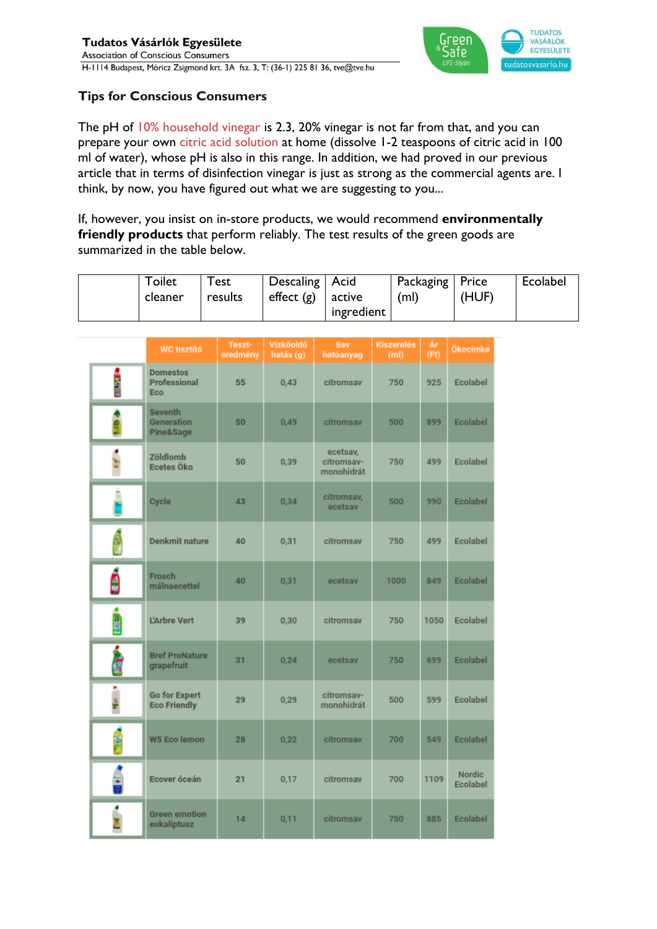

# **Tips for Conscious Consumers**

The pH of [10% household vinegar](https://tudatosvasarlo.hu/oko-takaritas-kisokos-mit-tud-az-ecet/) is 2.3, 20% vinegar is not far from that, and you can prepare your own [citric acid solution](https://tudatosvasarlo.hu/oko-takaritas-kisokos-mit-tud-a-citromsav/) at home (dissolve 1-2 teaspoons of citric acid in 100 ml of water), whose pH is also in this range. In addition, we had proved in our previous article that in terms of disinfection vinegar is just as strong as the commercial agents are. I think, by now, you have figured out what we are suggesting to you...

If, however, you insist on in-store products, we would recommend **environmentally friendly products** that perform reliably. The test results of the green goods are summarized in the table below.

| $\tau$ oilet<br>cleaner | $\tau_{\mathsf{est}}$<br>results | Descaling   Acid<br>effect $(g)$ | active     | Packaging   Price<br>(m) | (HUF) | Ecolabel |
|-------------------------|----------------------------------|----------------------------------|------------|--------------------------|-------|----------|
|                         |                                  |                                  | ingredient |                          |       |          |

|      | <b>WC tisztító</b>                            | Teszt-<br>eredmény | Vízkőoldó<br>hatás (g) | Sav<br>hatóanyag                     | <b>Kiszerelés</b><br>(m <sub>l</sub> ) | Ár<br>(Ft) | Ökocímke                  |
|------|-----------------------------------------------|--------------------|------------------------|--------------------------------------|----------------------------------------|------------|---------------------------|
| İ    | <b>Domestos</b><br><b>Professional</b><br>Eco | 55                 | 0,43                   | citromsav                            | 750                                    | 925        | Ecolabel                  |
| ÷    | <b>Seventh</b><br>Generation<br>Pine&Sage     | 50                 | 0,49                   | citromsav                            | 500                                    | 899        | Ecolabel                  |
|      | Zöldlomb<br>Ecetes Öko                        | 50                 | 0,39                   | ecetsav,<br>citromsav-<br>monohidrát | 750                                    | 499        | Ecolabel                  |
|      | Cycle                                         | 43                 | 0,34                   | citromsav,<br>ecetsav                | 500                                    | 990        | Ecolabel                  |
| é    | <b>Denkmit nature</b>                         | 40                 | 0,31                   | citromsav                            | 750                                    | 499        | Ecolabel                  |
| ĝ    | Frosch<br>málnaecettel                        | 40                 | 0,31                   | ecetsav                              | 1000                                   | 849        | Ecolabel                  |
| Ē    | L'Arbre Vert                                  | 39                 | 0,30                   | citromsav                            | 750                                    | 1050       | Ecolabel                  |
| i.   | <b>Bref ProNature</b><br>grapefruit           | 31                 | 0,24                   | ecetsav                              | 750                                    | 699        | Ecolabel                  |
| te 1 | <b>Go for Expert</b><br><b>Eco Friendly</b>   | 29                 | 0,29                   | citromsav-<br>monohidrát             | 500                                    | 599        | Ecolabel                  |
| É    | <b>W5 Eco lemon</b>                           | 28                 | 0,22                   | citromsav                            | 700                                    | 549        | Ecolabel                  |
| š    | Ecover óceán                                  | 21                 | 0,17                   | citromsay                            | 700                                    | 1109       | <b>Nordic</b><br>Ecolabel |
|      | <b>Green emotion</b><br>eukaliptusz           | 14                 | 0,11                   | citromsav                            | 750                                    | 885        | Ecolabel                  |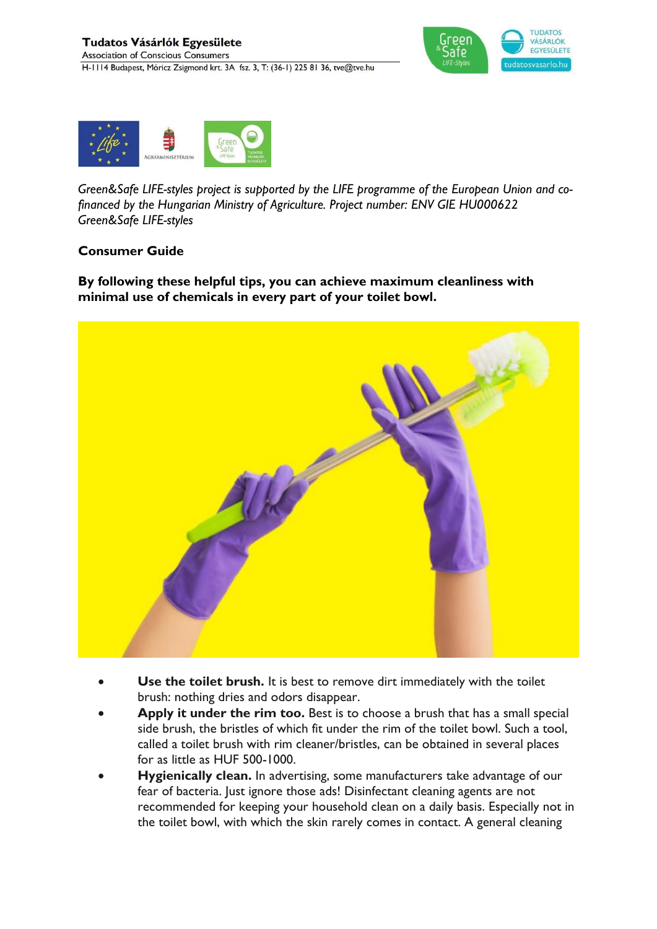



*Green&Safe LIFE-styles project is supported by the LIFE programme of the European Union and cofinanced by the Hungarian Ministry of Agriculture. Project number: ENV GIE HU000622 Green&Safe LIFE-styles*

### **Consumer Guide**

**By following these helpful tips, you can achieve maximum cleanliness with minimal use of chemicals in every part of your toilet bowl.**



- **Use the toilet brush.** It is best to remove dirt immediately with the toilet brush: nothing dries and odors disappear.
- **Apply it under the rim too.** Best is to choose a brush that has a small special side brush, the bristles of which fit under the rim of the toilet bowl. Such a tool, called a toilet brush with rim cleaner/bristles, can be obtained in several places for as little as HUF 500-1000.
- **Hygienically clean.** In advertising, some manufacturers take advantage of our fear of bacteria. Just ignore those ads! Disinfectant cleaning agents are not recommended for keeping your household clean on a daily basis. Especially not in the toilet bowl, with which the skin rarely comes in contact. A general cleaning